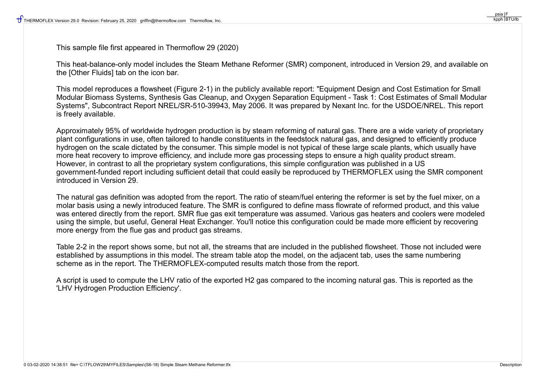This sample file first appeared in Thermoflow 29 (2020)

This heat-balance-only model includes the Steam Methane Reformer (SMR) component, introduced in Version 29, and available on the [Other Fluids] tab on the icon bar.

This model reproduces a flowsheet (Figure 2-1) in the publicly available report: "Equipment Design and Cost Estimation for Small Modular Biomass Systems, Synthesis Gas Cleanup, and Oxygen Separation Equipment - Task 1: Cost Estimates of Small Modular Systems", Subcontract Report NREL/SR-510-39943, May 2006. It was prepared by Nexant Inc. for the USDOE/NREL. This report is freely available.

Approximately 95% of worldwide hydrogen production is by steam reforming of natural gas. There are a wide variety of proprietary plant configurations in use, often tailored to handle constituents in the feedstock natural gas, and designed to efficiently produce hydrogen on the scale dictated by the consumer. This simple model is not typical of these large scale plants, which usually have more heat recovery to improve efficiency, and include more gas processing steps to ensure a high quality product stream. However, in contrast to all the proprietary system configurations, this simple configuration was published in a US government-funded report including sufficient detail that could easily be reproduced by THERMOFLEX using the SMR component introduced in Version 29.

The natural gas definition was adopted from the report. The ratio of steam/fuel entering the reformer is set by the fuel mixer, on a molar basis using a newly introduced feature. The SMR is configured to define mass flowrate of reformed product, and this value was entered directly from the report. SMR flue gas exit temperature was assumed. Various gas heaters and coolers were modeled using the simple, but useful, General Heat Exchanger. You'll notice this configuration could be made more efficient by recovering more energy from the flue gas and product gas streams.

Table 2-2 in the report shows some, but not all, the streams that are included in the published flowsheet. Those not included were established by assumptions in this model. The stream table atop the model, on the adjacent tab, uses the same numbering scheme as in the report. The THERMOFLEX-computed results match those from the report.

A script is used to compute the LHV ratio of the exported H2 gas compared to the incoming natural gas. This is reported as the 'LHV Hydrogen Production Efficiency'.